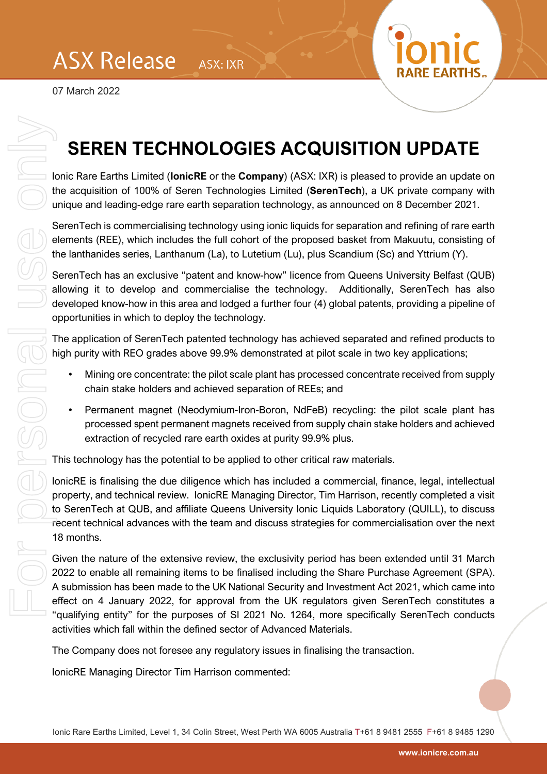

## **SEREN TECHNOLOGIES ACQUISITION UPDATE**

Ionic Rare Earths Limited (**IonicRE** or the **Company**) (ASX: IXR) is pleased to provide an update on the acquisition of 100% of Seren Technologies Limited (**SerenTech**), a UK private company with unique and leading-edge rare earth separation technology, as announced on 8 December 2021.

SerenTech is commercialising technology using ionic liquids for separation and refining of rare earth elements (REE), which includes the full cohort of the proposed basket from Makuutu, consisting of the lanthanides series, Lanthanum (La), to Lutetium (Lu), plus Scandium (Sc) and Yttrium (Y).

SerenTech has an exclusive "patent and know-how" licence from Queens University Belfast (QUB) allowing it to develop and commercialise the technology. Additionally, SerenTech has also developed know-how in this area and lodged a further four (4) global patents, providing a pipeline of opportunities in which to deploy the technology.

The application of SerenTech patented technology has achieved separated and refined products to high purity with REO grades above 99.9% demonstrated at pilot scale in two key applications;

- Mining ore concentrate: the pilot scale plant has processed concentrate received from supply chain stake holders and achieved separation of REEs; and
- Permanent magnet (Neodymium-Iron-Boron, NdFeB) recycling: the pilot scale plant has processed spent permanent magnets received from supply chain stake holders and achieved extraction of recycled rare earth oxides at purity 99.9% plus.

This technology has the potential to be applied to other critical raw materials.

IonicRE is finalising the due diligence which has included a commercial, finance, legal, intellectual property, and technical review. IonicRE Managing Director, Tim Harrison, recently completed a visit to SerenTech at QUB, and affiliate Queens University Ionic Liquids Laboratory (QUILL), to discuss recent technical advances with the team and discuss strategies for commercialisation over the next 18 months.

Given the nature of the extensive review, the exclusivity period has been extended until 31 March 2022 to enable all remaining items to be finalised including the Share Purchase Agreement (SPA). A submission has been made to the UK National Security and Investment Act 2021, which came into effect on 4 January 2022, for approval from the UK regulators given SerenTech constitutes a "qualifying entity" for the purposes of SI 2021 No. 1264, more specifically SerenTech conducts activities which fall within the defined sector of Advanced Materials. **SEREN TECHNOLOGIES A**<br>
bonic Rare Earths Limited (tonicRE or the Company)<br>
the acquisition of 100% of Seren Technologies Limit<br>
unique and leading-edge rare earth separation technology is point<br>
seremented in commerciali

The Company does not foresee any regulatory issues in finalising the transaction.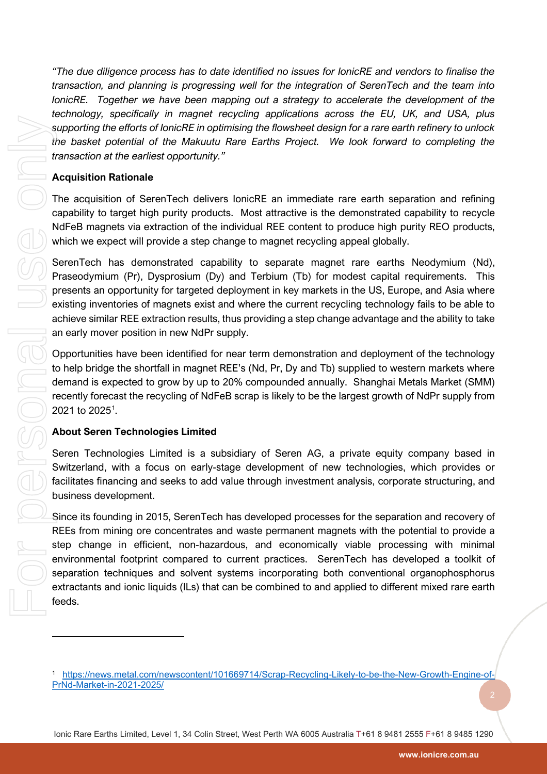*"The due diligence process has to date identified no issues for IonicRE and vendors to finalise the transaction, and planning is progressing well for the integration of SerenTech and the team into IonicRE.* Together we have been mapping out a strategy to accelerate the development of the *technology, specifically in magnet recycling applications across the EU, UK, and USA, plus supporting the efforts of IonicRE in optimising the flowsheet design for a rare earth refinery to unlock the basket potential of the Makuutu Rare Earths Project. We look forward to completing the transaction at the earliest opportunity."*

## **Acquisition Rationale**

The acquisition of SerenTech delivers IonicRE an immediate rare earth separation and refining capability to target high purity products. Most attractive is the demonstrated capability to recycle NdFeB magnets via extraction of the individual REE content to produce high purity REO products, which we expect will provide a step change to magnet recycling appeal globally.

SerenTech has demonstrated capability to separate magnet rare earths Neodymium (Nd), Praseodymium (Pr), Dysprosium (Dy) and Terbium (Tb) for modest capital requirements. This presents an opportunity for targeted deployment in key markets in the US, Europe, and Asia where existing inventories of magnets exist and where the current recycling technology fails to be able to achieve similar REE extraction results, thus providing a step change advantage and the ability to take an early mover position in new NdPr supply.

Opportunities have been identified for near term demonstration and deployment of the technology to help bridge the shortfall in magnet REE's (Nd, Pr, Dy and Tb) supplied to western markets where demand is expected to grow by up to 20% compounded annually. Shanghai Metals Market (SMM) recently forecast the recycling of NdFeB scrap is likely to be the largest growth of NdPr supply from 202[1](#page-1-0) to 2025<sup>1</sup>.

## **About Seren Technologies Limited**

Seren Technologies Limited is a subsidiary of Seren AG, a private equity company based in Switzerland, with a focus on early-stage development of new technologies, which provides or facilitates financing and seeks to add value through investment analysis, corporate structuring, and business development.

Since its founding in 2015, SerenTech has developed processes for the separation and recovery of REEs from mining ore concentrates and waste permanent magnets with the potential to provide a step change in efficient, non-hazardous, and economically viable processing with minimal environmental footprint compared to current practices. SerenTech has developed a toolkit of separation techniques and solvent systems incorporating both conventional organophosphorus extractants and ionic liquids (ILs) that can be combined to and applied to different mixed rare earth feeds.

<span id="page-1-0"></span><sup>1</sup> [https://news.metal.com/newscontent/101669714/Scrap-Recycling-Likely-to-be-the-New-Growth-Engine-of-](https://news.metal.com/newscontent/101669714/Scrap-Recycling-Likely-to-be-the-New-Growth-Engine-of-PrNd-Market-in-2021-2025/)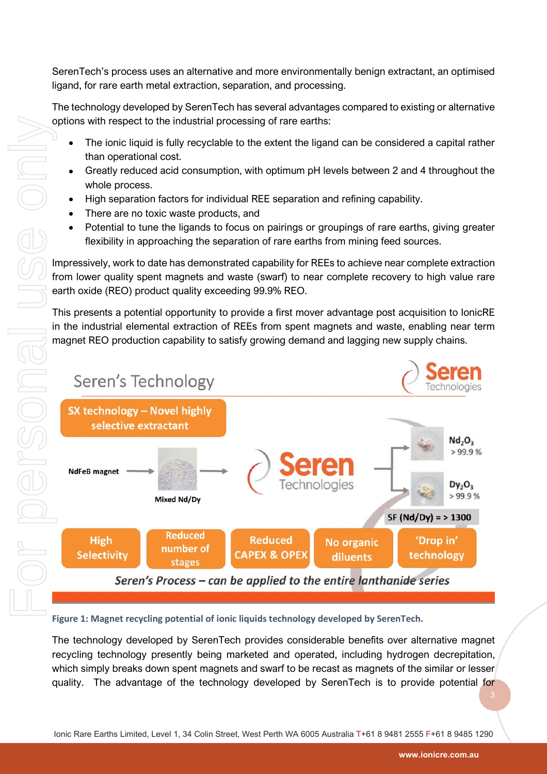SerenTech's process uses an alternative and more environmentally benign extractant, an optimised ligand, for rare earth metal extraction, separation, and processing.

The technology developed by SerenTech has several advantages compared to existing or alternative options with respect to the industrial processing of rare earths:

- The ionic liquid is fully recyclable to the extent the ligand can be considered a capital rather than operational cost.
- Greatly reduced acid consumption, with optimum pH levels between 2 and 4 throughout the whole process.
- High separation factors for individual REE separation and refining capability.
- There are no toxic waste products, and
- Potential to tune the ligands to focus on pairings or groupings of rare earths, giving greater flexibility in approaching the separation of rare earths from mining feed sources.

Impressively, work to date has demonstrated capability for REEs to achieve near complete extraction from lower quality spent magnets and waste (swarf) to near complete recovery to high value rare earth oxide (REO) product quality exceeding 99.9% REO.

This presents a potential opportunity to provide a first mover advantage post acquisition to IonicRE in the industrial elemental extraction of REEs from spent magnets and waste, enabling near term magnet REO production capability to satisfy growing demand and lagging new supply chains.



**Figure 1: Magnet recycling potential of ionic liquids technology developed by SerenTech.**

The technology developed by SerenTech provides considerable benefits over alternative magnet recycling technology presently being marketed and operated, including hydrogen decrepitation, which simply breaks down spent magnets and swarf to be recast as magnets of the similar or lesser